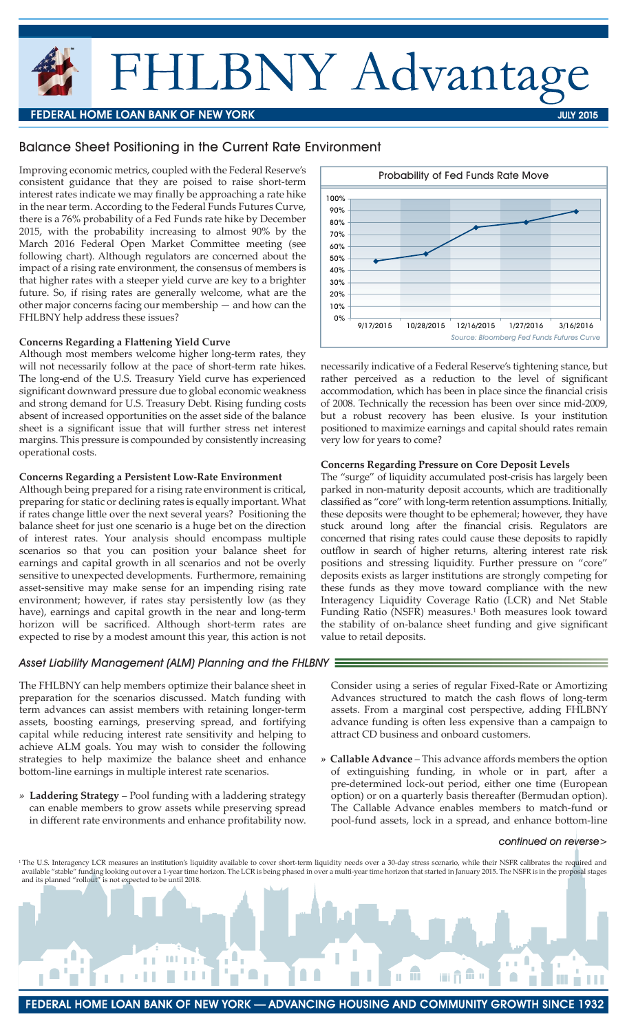# HLBNY Advantage

## **FEDERAL HOME LOAN BANK OF NEW YORK**

### Balance Sheet Positioning in the Current Rate Environment

Improving economic metrics, coupled with the Federal Reserve's consistent guidance that they are poised to raise short-term interest rates indicate we may finally be approaching a rate hike in the near term. According to the Federal Funds Futures Curve, there is a 76% probability of a Fed Funds rate hike by December 2015, with the probability increasing to almost 90% by the March 2016 Federal Open Market Committee meeting (see following chart). Although regulators are concerned about the impact of a rising rate environment, the consensus of members is that higher rates with a steeper yield curve are key to a brighter future. So, if rising rates are generally welcome, what are the other major concerns facing our membership — and how can the FHLBNY help address these issues?

#### **Concerns Regarding a Flattening Yield Curve**

Although most members welcome higher long-term rates, they will not necessarily follow at the pace of short-term rate hikes. The long-end of the U.S. Treasury Yield curve has experienced significant downward pressure due to global economic weakness and strong demand for U.S. Treasury Debt. Rising funding costs absent of increased opportunities on the asset side of the balance sheet is a significant issue that will further stress net interest margins. This pressure is compounded by consistently increasing operational costs.

#### **Concerns Regarding a Persistent Low-Rate Environment**

Although being prepared for a rising rate environment is critical, preparing for static or declining rates is equally important. What if rates change little over the next several years? Positioning the balance sheet for just one scenario is a huge bet on the direction of interest rates. Your analysis should encompass multiple scenarios so that you can position your balance sheet for earnings and capital growth in all scenarios and not be overly sensitive to unexpected developments. Furthermore, remaining asset-sensitive may make sense for an impending rising rate environment; however, if rates stay persistently low (as they have), earnings and capital growth in the near and long-term horizon will be sacrificed. Although short-term rates are expected to rise by a modest amount this year, this action is not

#### *Asset Liability Management (ALM) Planning and the FHLBNY*

The FHLBNY can help members optimize their balance sheet in preparation for the scenarios discussed. Match funding with term advances can assist members with retaining longer-term assets, boosting earnings, preserving spread, and fortifying capital while reducing interest rate sensitivity and helping to achieve ALM goals. You may wish to consider the following strategies to help maximize the balance sheet and enhance bottom-line earnings in multiple interest rate scenarios.

*»* **Laddering Strategy** – Pool funding with a laddering strategy can enable members to grow assets while preserving spread in different rate environments and enhance profitability now.

Consider using a series of regular Fixed-Rate or Amortizing Advances structured to match the cash flows of long-term assets. From a marginal cost perspective, adding FHLBNY advance funding is often less expensive than a campaign to attract CD business and onboard customers.

*»* **Callable Advance** – This advance affords members the option of extinguishing funding, in whole or in part, after a pre-determined lock-out period, either one time (European option) or on a quarterly basis thereafter (Bermudan option). The Callable Advance enables members to match-fund or pool-fund assets, lock in a spread, and enhance bottom-line

#### *continued on reverse>*

<sup>1</sup>The U.S. Interagency LCR measures an institution's liquidity available to cover short-term liquidity needs over a 30-day stress scenario, while their NSFR calibrates the required and available "stable" funding looking out over a 1-year time horizon. The LCR is being phased in over a multi-year time horizon that started in January 2015. The NSFR is in the proposal stages





JULY 2015

necessarily indicative of a Federal Reserve's tightening stance, but rather perceived as a reduction to the level of significant accommodation, which has been in place since the financial crisis of 2008. Technically the recession has been over since mid-2009, but a robust recovery has been elusive. Is your institution positioned to maximize earnings and capital should rates remain very low for years to come?

#### **Concerns Regarding Pressure on Core Deposit Levels**

The "surge" of liquidity accumulated post-crisis has largely been parked in non-maturity deposit accounts, which are traditionally classified as "core" with long-term retention assumptions. Initially, these deposits were thought to be ephemeral; however, they have stuck around long after the financial crisis. Regulators are concerned that rising rates could cause these deposits to rapidly outflow in search of higher returns, altering interest rate risk positions and stressing liquidity. Further pressure on "core" deposits exists as larger institutions are strongly competing for these funds as they move toward compliance with the new Interagency Liquidity Coverage Ratio (LCR) and Net Stable Funding Ratio (NSFR) measures.<sup>1</sup> Both measures look toward the stability of on-balance sheet funding and give significant value to retail deposits.

FEDERAL HOME LOAN BANK OF NEW YORK — ADVANCING HOUSING AND COMMUNITY GROWTH SINCE 1932